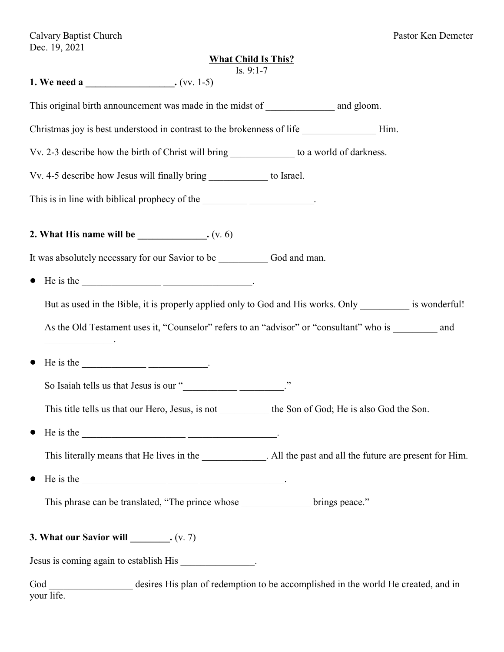Calvary Baptist Church Pastor Ken Demeter Dec. 19, 2021

# **What Child Is This?**

| Is. $9:1-7$<br>1. We need a _______________________. (vv. 1-5)                                                                                                                                                                                                                                                                                                                                                                       |
|--------------------------------------------------------------------------------------------------------------------------------------------------------------------------------------------------------------------------------------------------------------------------------------------------------------------------------------------------------------------------------------------------------------------------------------|
| This original birth announcement was made in the midst of _______________________ and gloom.                                                                                                                                                                                                                                                                                                                                         |
| Christmas joy is best understood in contrast to the brokenness of life ______________________Him.                                                                                                                                                                                                                                                                                                                                    |
| Vv. 2-3 describe how the birth of Christ will bring ______________ to a world of darkness.                                                                                                                                                                                                                                                                                                                                           |
| Vv. 4-5 describe how Jesus will finally bring _____________ to Israel.                                                                                                                                                                                                                                                                                                                                                               |
| This is in line with biblical prophecy of the _______________________.                                                                                                                                                                                                                                                                                                                                                               |
| 2. What His name will be $\_\_\_\_\_\_\_\_\_\_\_\$ . (v. 6)                                                                                                                                                                                                                                                                                                                                                                          |
| It was absolutely necessary for our Savior to be God and man.                                                                                                                                                                                                                                                                                                                                                                        |
| He is the $\frac{1}{\sqrt{1-\frac{1}{2}}}\frac{1}{\sqrt{1-\frac{1}{2}}}\frac{1}{\sqrt{1-\frac{1}{2}}}\frac{1}{\sqrt{1-\frac{1}{2}}}\frac{1}{\sqrt{1-\frac{1}{2}}}\frac{1}{\sqrt{1-\frac{1}{2}}}\frac{1}{\sqrt{1-\frac{1}{2}}}\frac{1}{\sqrt{1-\frac{1}{2}}}\frac{1}{\sqrt{1-\frac{1}{2}}}\frac{1}{\sqrt{1-\frac{1}{2}}}\frac{1}{\sqrt{1-\frac{1}{2}}}\frac{1}{\sqrt{1-\frac{1}{2}}}\frac{1}{\sqrt{1-\frac{1}{2}}}\frac$<br>$\bullet$ |
| But as used in the Bible, it is properly applied only to God and His works. Only __________ is wonderful!                                                                                                                                                                                                                                                                                                                            |
| As the Old Testament uses it, "Counselor" refers to an "advisor" or "consultant" who is ________ and                                                                                                                                                                                                                                                                                                                                 |
| He is the $\frac{1}{\sqrt{1-\frac{1}{2}}}\frac{1}{\sqrt{1-\frac{1}{2}}}\frac{1}{\sqrt{1-\frac{1}{2}}}\frac{1}{\sqrt{1-\frac{1}{2}}}\frac{1}{\sqrt{1-\frac{1}{2}}}\frac{1}{\sqrt{1-\frac{1}{2}}}\frac{1}{\sqrt{1-\frac{1}{2}}}\frac{1}{\sqrt{1-\frac{1}{2}}}\frac{1}{\sqrt{1-\frac{1}{2}}}\frac{1}{\sqrt{1-\frac{1}{2}}}\frac{1}{\sqrt{1-\frac{1}{2}}}\frac{1}{\sqrt{1-\frac{1}{2}}}\frac{1}{\sqrt{1-\frac{1}{2}}}\frac$<br>$\bullet$ |
|                                                                                                                                                                                                                                                                                                                                                                                                                                      |
| This title tells us that our Hero, Jesus, is not _____________ the Son of God; He is also God the Son.                                                                                                                                                                                                                                                                                                                               |
| He is the                                                                                                                                                                                                                                                                                                                                                                                                                            |
| This literally means that He lives in the _____________. All the past and all the future are present for Him.                                                                                                                                                                                                                                                                                                                        |
| He is the $\frac{1}{\sqrt{1-\frac{1}{2}}\sqrt{1-\frac{1}{2}}\sqrt{1-\frac{1}{2}}\sqrt{1-\frac{1}{2}}\sqrt{1-\frac{1}{2}}\sqrt{1-\frac{1}{2}}\sqrt{1-\frac{1}{2}}\sqrt{1-\frac{1}{2}}\sqrt{1-\frac{1}{2}}\sqrt{1-\frac{1}{2}}\sqrt{1-\frac{1}{2}}\sqrt{1-\frac{1}{2}}\sqrt{1-\frac{1}{2}}\sqrt{1-\frac{1}{2}}\sqrt{1-\frac{1}{2}}\sqrt{1-\frac{1}{2}}\sqrt{1-\frac{1}{2}}\sqrt{1-\frac{1}{2}}\sqrt{1-\frac{$<br>$\bullet$             |
| This phrase can be translated, "The prince whose ______________ brings peace."                                                                                                                                                                                                                                                                                                                                                       |
| 3. What our Savior will $\_\_\_\_$ . $(v. 7)$                                                                                                                                                                                                                                                                                                                                                                                        |
| Jesus is coming again to establish His _______________.                                                                                                                                                                                                                                                                                                                                                                              |

God \_\_\_\_\_\_\_\_\_\_\_\_\_\_\_\_\_\_ desires His plan of redemption to be accomplished in the world He created, and in your life.